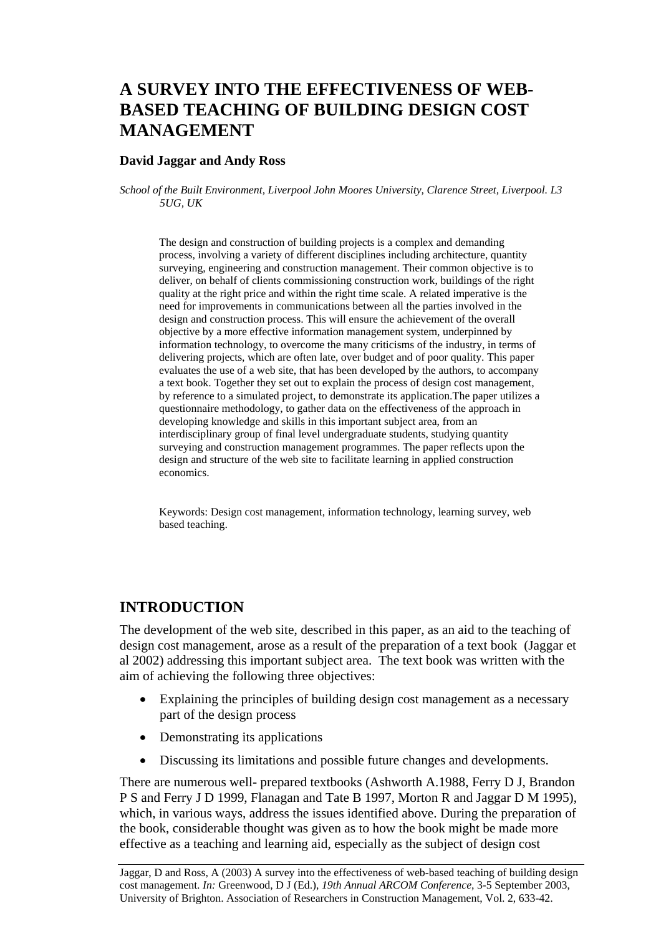# **A SURVEY INTO THE EFFECTIVENESS OF WEB-BASED TEACHING OF BUILDING DESIGN COST MANAGEMENT**

### **David Jaggar and Andy Ross**

*School of the Built Environment, Liverpool John Moores University, Clarence Street, Liverpool. L3 5UG, UK* 

The design and construction of building projects is a complex and demanding process, involving a variety of different disciplines including architecture, quantity surveying, engineering and construction management. Their common objective is to deliver, on behalf of clients commissioning construction work, buildings of the right quality at the right price and within the right time scale. A related imperative is the need for improvements in communications between all the parties involved in the design and construction process. This will ensure the achievement of the overall objective by a more effective information management system, underpinned by information technology, to overcome the many criticisms of the industry, in terms of delivering projects, which are often late, over budget and of poor quality. This paper evaluates the use of a web site, that has been developed by the authors, to accompany a text book. Together they set out to explain the process of design cost management, by reference to a simulated project, to demonstrate its application.The paper utilizes a questionnaire methodology, to gather data on the effectiveness of the approach in developing knowledge and skills in this important subject area, from an interdisciplinary group of final level undergraduate students, studying quantity surveying and construction management programmes. The paper reflects upon the design and structure of the web site to facilitate learning in applied construction economics.

Keywords: Design cost management, information technology, learning survey, web based teaching.

### **INTRODUCTION**

The development of the web site, described in this paper, as an aid to the teaching of design cost management, arose as a result of the preparation of a text book (Jaggar et al 2002) addressing this important subject area. The text book was written with the aim of achieving the following three objectives:

- Explaining the principles of building design cost management as a necessary part of the design process
- Demonstrating its applications
- Discussing its limitations and possible future changes and developments.

There are numerous well- prepared textbooks (Ashworth A.1988, Ferry D J, Brandon P S and Ferry J D 1999, Flanagan and Tate B 1997, Morton R and Jaggar D M 1995), which, in various ways, address the issues identified above. During the preparation of the book, considerable thought was given as to how the book might be made more effective as a teaching and learning aid, especially as the subject of design cost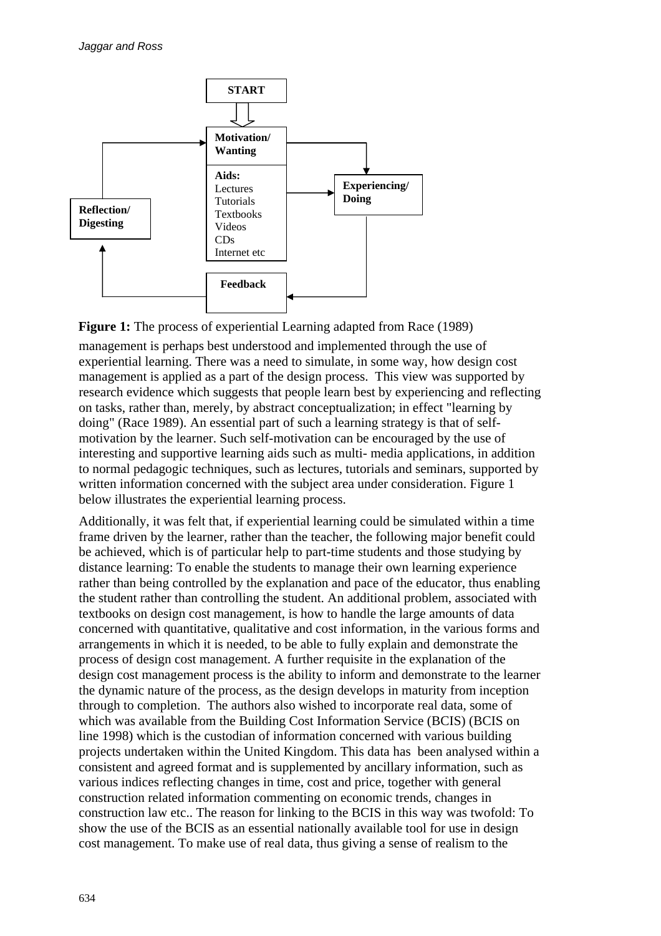

**Figure 1:** The process of experiential Learning adapted from Race (1989)

management is perhaps best understood and implemented through the use of experiential learning. There was a need to simulate, in some way, how design cost management is applied as a part of the design process. This view was supported by research evidence which suggests that people learn best by experiencing and reflecting on tasks, rather than, merely, by abstract conceptualization; in effect "learning by doing" (Race 1989). An essential part of such a learning strategy is that of selfmotivation by the learner. Such self-motivation can be encouraged by the use of interesting and supportive learning aids such as multi- media applications, in addition to normal pedagogic techniques, such as lectures, tutorials and seminars, supported by written information concerned with the subject area under consideration. Figure 1 below illustrates the experiential learning process.

Additionally, it was felt that, if experiential learning could be simulated within a time frame driven by the learner, rather than the teacher, the following major benefit could be achieved, which is of particular help to part-time students and those studying by distance learning: To enable the students to manage their own learning experience rather than being controlled by the explanation and pace of the educator, thus enabling the student rather than controlling the student. An additional problem, associated with textbooks on design cost management, is how to handle the large amounts of data concerned with quantitative, qualitative and cost information, in the various forms and arrangements in which it is needed, to be able to fully explain and demonstrate the process of design cost management. A further requisite in the explanation of the design cost management process is the ability to inform and demonstrate to the learner the dynamic nature of the process, as the design develops in maturity from inception through to completion. The authors also wished to incorporate real data, some of which was available from the Building Cost Information Service (BCIS) (BCIS on line 1998) which is the custodian of information concerned with various building projects undertaken within the United Kingdom. This data has been analysed within a consistent and agreed format and is supplemented by ancillary information, such as various indices reflecting changes in time, cost and price, together with general construction related information commenting on economic trends, changes in construction law etc.. The reason for linking to the BCIS in this way was twofold: To show the use of the BCIS as an essential nationally available tool for use in design cost management. To make use of real data, thus giving a sense of realism to the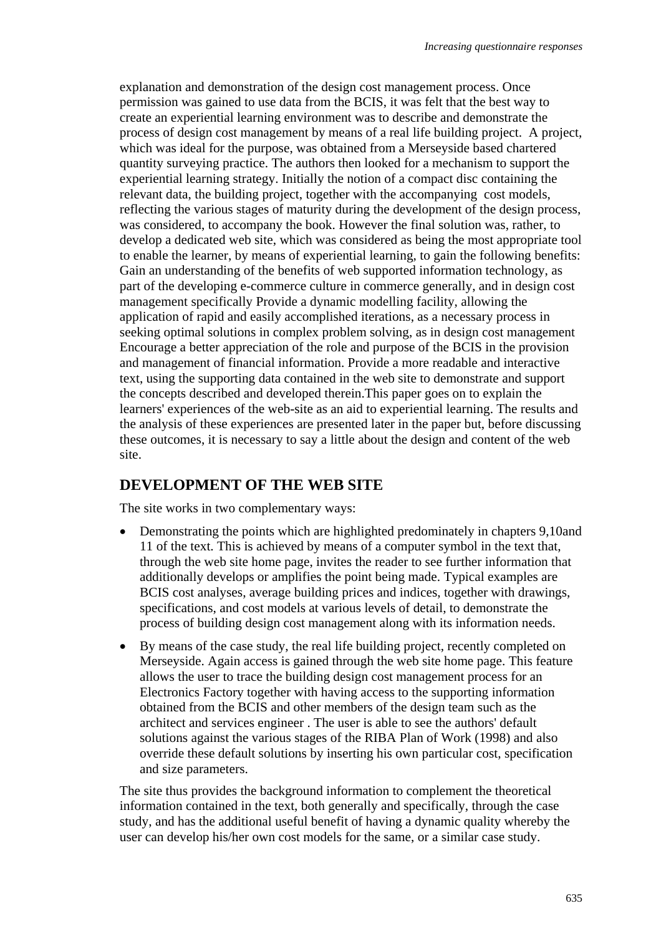explanation and demonstration of the design cost management process. Once permission was gained to use data from the BCIS, it was felt that the best way to create an experiential learning environment was to describe and demonstrate the process of design cost management by means of a real life building project. A project, which was ideal for the purpose, was obtained from a Merseyside based chartered quantity surveying practice. The authors then looked for a mechanism to support the experiential learning strategy. Initially the notion of a compact disc containing the relevant data, the building project, together with the accompanying cost models, reflecting the various stages of maturity during the development of the design process, was considered, to accompany the book. However the final solution was, rather, to develop a dedicated web site, which was considered as being the most appropriate tool to enable the learner, by means of experiential learning, to gain the following benefits: Gain an understanding of the benefits of web supported information technology, as part of the developing e-commerce culture in commerce generally, and in design cost management specifically Provide a dynamic modelling facility, allowing the application of rapid and easily accomplished iterations, as a necessary process in seeking optimal solutions in complex problem solving, as in design cost management Encourage a better appreciation of the role and purpose of the BCIS in the provision and management of financial information. Provide a more readable and interactive text, using the supporting data contained in the web site to demonstrate and support the concepts described and developed therein.This paper goes on to explain the learners' experiences of the web-site as an aid to experiential learning. The results and the analysis of these experiences are presented later in the paper but, before discussing these outcomes, it is necessary to say a little about the design and content of the web site.

### **DEVELOPMENT OF THE WEB SITE**

The site works in two complementary ways:

- Demonstrating the points which are highlighted predominately in chapters 9,10and 11 of the text. This is achieved by means of a computer symbol in the text that, through the web site home page, invites the reader to see further information that additionally develops or amplifies the point being made. Typical examples are BCIS cost analyses, average building prices and indices, together with drawings, specifications, and cost models at various levels of detail, to demonstrate the process of building design cost management along with its information needs.
- By means of the case study, the real life building project, recently completed on Merseyside. Again access is gained through the web site home page. This feature allows the user to trace the building design cost management process for an Electronics Factory together with having access to the supporting information obtained from the BCIS and other members of the design team such as the architect and services engineer . The user is able to see the authors' default solutions against the various stages of the RIBA Plan of Work (1998) and also override these default solutions by inserting his own particular cost, specification and size parameters.

The site thus provides the background information to complement the theoretical information contained in the text, both generally and specifically, through the case study, and has the additional useful benefit of having a dynamic quality whereby the user can develop his/her own cost models for the same, or a similar case study.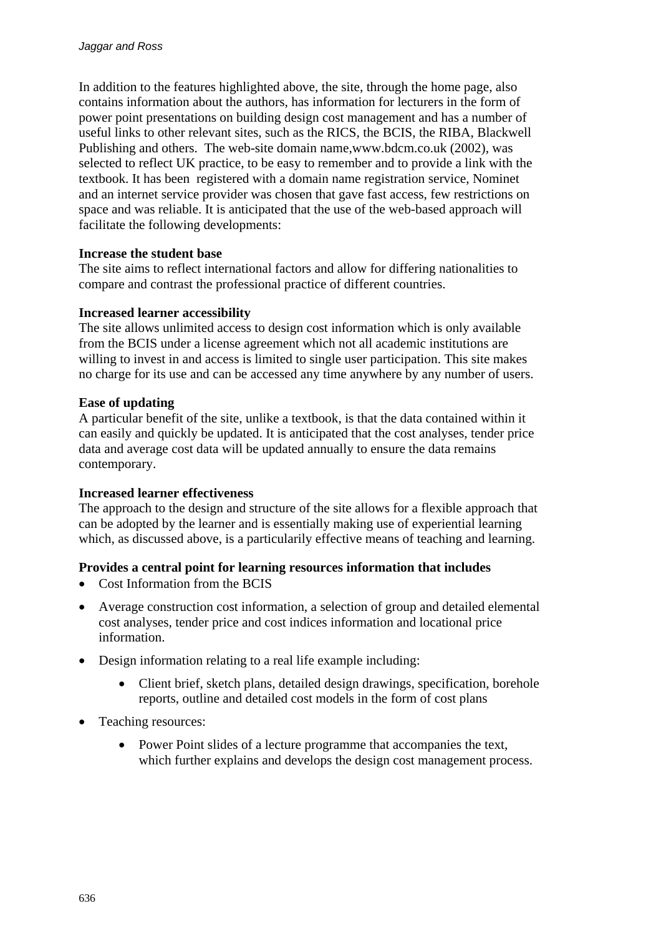In addition to the features highlighted above, the site, through the home page, also contains information about the authors, has information for lecturers in the form of power point presentations on building design cost management and has a number of useful links to other relevant sites, such as the RICS, the BCIS, the RIBA, Blackwell Publishing and others. The web-site domain name,www.bdcm.co.uk (2002), was selected to reflect UK practice, to be easy to remember and to provide a link with the textbook. It has been registered with a domain name registration service, Nominet and an internet service provider was chosen that gave fast access, few restrictions on space and was reliable. It is anticipated that the use of the web-based approach will facilitate the following developments:

### **Increase the student base**

The site aims to reflect international factors and allow for differing nationalities to compare and contrast the professional practice of different countries.

### **Increased learner accessibility**

The site allows unlimited access to design cost information which is only available from the BCIS under a license agreement which not all academic institutions are willing to invest in and access is limited to single user participation. This site makes no charge for its use and can be accessed any time anywhere by any number of users.

### **Ease of updating**

A particular benefit of the site, unlike a textbook, is that the data contained within it can easily and quickly be updated. It is anticipated that the cost analyses, tender price data and average cost data will be updated annually to ensure the data remains contemporary.

#### **Increased learner effectiveness**

The approach to the design and structure of the site allows for a flexible approach that can be adopted by the learner and is essentially making use of experiential learning which, as discussed above, is a particularily effective means of teaching and learning.

### **Provides a central point for learning resources information that includes**

- Cost Information from the BCIS
- Average construction cost information, a selection of group and detailed elemental cost analyses, tender price and cost indices information and locational price information.
- Design information relating to a real life example including:
	- Client brief, sketch plans, detailed design drawings, specification, borehole reports, outline and detailed cost models in the form of cost plans
- Teaching resources:
	- Power Point slides of a lecture programme that accompanies the text, which further explains and develops the design cost management process.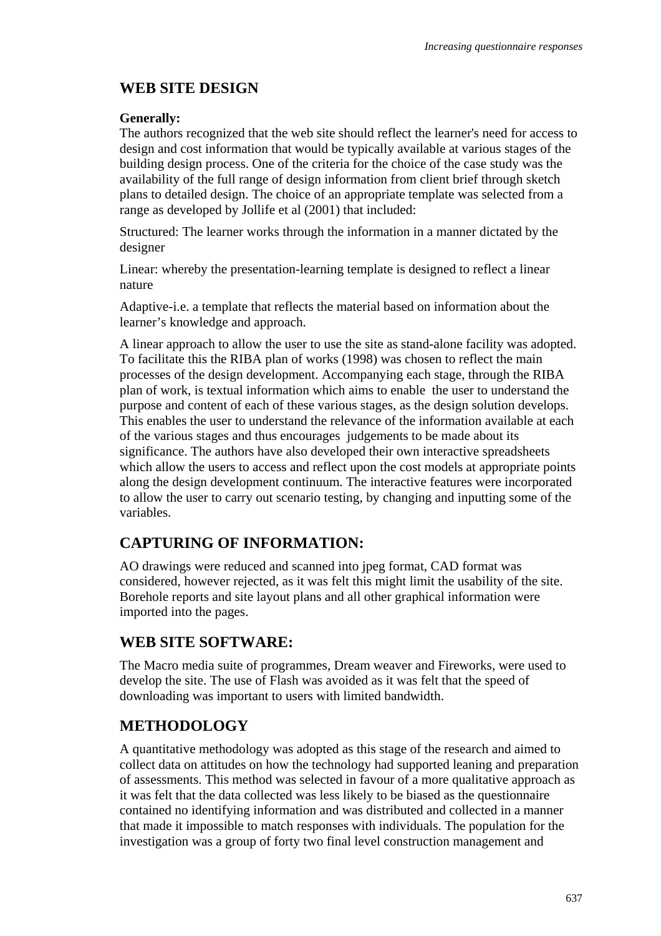# **WEB SITE DESIGN**

### **Generally:**

The authors recognized that the web site should reflect the learner's need for access to design and cost information that would be typically available at various stages of the building design process. One of the criteria for the choice of the case study was the availability of the full range of design information from client brief through sketch plans to detailed design. The choice of an appropriate template was selected from a range as developed by Jollife et al (2001) that included:

Structured: The learner works through the information in a manner dictated by the designer

Linear: whereby the presentation-learning template is designed to reflect a linear nature

Adaptive-i.e. a template that reflects the material based on information about the learner's knowledge and approach.

A linear approach to allow the user to use the site as stand-alone facility was adopted. To facilitate this the RIBA plan of works (1998) was chosen to reflect the main processes of the design development. Accompanying each stage, through the RIBA plan of work, is textual information which aims to enable the user to understand the purpose and content of each of these various stages, as the design solution develops. This enables the user to understand the relevance of the information available at each of the various stages and thus encourages judgements to be made about its significance. The authors have also developed their own interactive spreadsheets which allow the users to access and reflect upon the cost models at appropriate points along the design development continuum. The interactive features were incorporated to allow the user to carry out scenario testing, by changing and inputting some of the variables.

# **CAPTURING OF INFORMATION:**

AO drawings were reduced and scanned into jpeg format, CAD format was considered, however rejected, as it was felt this might limit the usability of the site. Borehole reports and site layout plans and all other graphical information were imported into the pages.

### **WEB SITE SOFTWARE:**

The Macro media suite of programmes, Dream weaver and Fireworks, were used to develop the site. The use of Flash was avoided as it was felt that the speed of downloading was important to users with limited bandwidth.

# **METHODOLOGY**

A quantitative methodology was adopted as this stage of the research and aimed to collect data on attitudes on how the technology had supported leaning and preparation of assessments. This method was selected in favour of a more qualitative approach as it was felt that the data collected was less likely to be biased as the questionnaire contained no identifying information and was distributed and collected in a manner that made it impossible to match responses with individuals. The population for the investigation was a group of forty two final level construction management and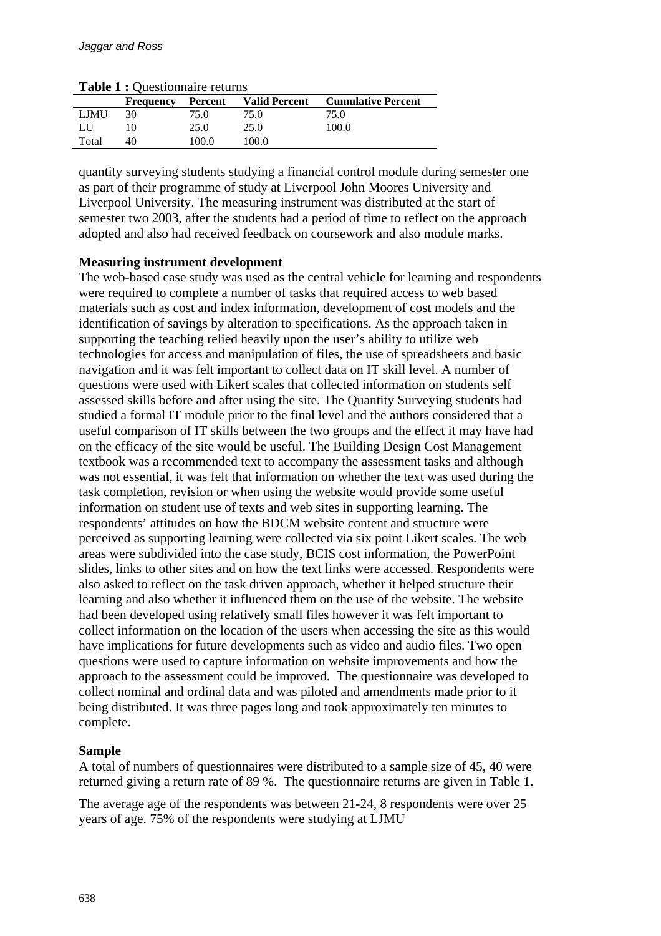| <b>rapic 1</b> . Questionnance returns |                  |         |                      |                           |  |  |  |  |
|----------------------------------------|------------------|---------|----------------------|---------------------------|--|--|--|--|
|                                        | <b>Frequency</b> | Percent | <b>Valid Percent</b> | <b>Cumulative Percent</b> |  |  |  |  |
| LJMU                                   | 30               | 75.0    | 75.0                 | 75.0                      |  |  |  |  |
| LU                                     |                  | 25.0    | 25.0                 | 100.0                     |  |  |  |  |
| Total                                  | 40               | 100 O   | 100.0                |                           |  |  |  |  |

**Table 1 :** Questionnaire returns

quantity surveying students studying a financial control module during semester one as part of their programme of study at Liverpool John Moores University and Liverpool University. The measuring instrument was distributed at the start of semester two 2003, after the students had a period of time to reflect on the approach adopted and also had received feedback on coursework and also module marks.

#### **Measuring instrument development**

The web-based case study was used as the central vehicle for learning and respondents were required to complete a number of tasks that required access to web based materials such as cost and index information, development of cost models and the identification of savings by alteration to specifications. As the approach taken in supporting the teaching relied heavily upon the user's ability to utilize web technologies for access and manipulation of files, the use of spreadsheets and basic navigation and it was felt important to collect data on IT skill level. A number of questions were used with Likert scales that collected information on students self assessed skills before and after using the site. The Quantity Surveying students had studied a formal IT module prior to the final level and the authors considered that a useful comparison of IT skills between the two groups and the effect it may have had on the efficacy of the site would be useful. The Building Design Cost Management textbook was a recommended text to accompany the assessment tasks and although was not essential, it was felt that information on whether the text was used during the task completion, revision or when using the website would provide some useful information on student use of texts and web sites in supporting learning. The respondents' attitudes on how the BDCM website content and structure were perceived as supporting learning were collected via six point Likert scales. The web areas were subdivided into the case study, BCIS cost information, the PowerPoint slides, links to other sites and on how the text links were accessed. Respondents were also asked to reflect on the task driven approach, whether it helped structure their learning and also whether it influenced them on the use of the website. The website had been developed using relatively small files however it was felt important to collect information on the location of the users when accessing the site as this would have implications for future developments such as video and audio files. Two open questions were used to capture information on website improvements and how the approach to the assessment could be improved. The questionnaire was developed to collect nominal and ordinal data and was piloted and amendments made prior to it being distributed. It was three pages long and took approximately ten minutes to complete.

#### **Sample**

A total of numbers of questionnaires were distributed to a sample size of 45, 40 were returned giving a return rate of 89 %. The questionnaire returns are given in Table 1.

The average age of the respondents was between 21-24, 8 respondents were over 25 years of age. 75% of the respondents were studying at LJMU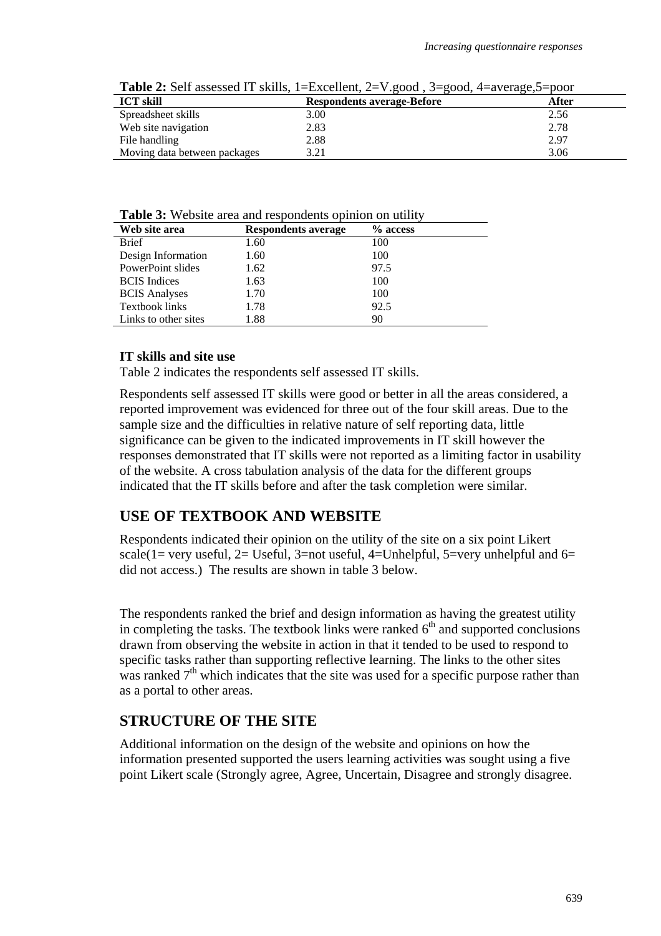| <b>Table 2.</b> Self assessed 11 skills, 1–EXCERTIN, 2– v.good, 3–good, 4–average, 3–poor |                                   |       |  |  |  |  |
|-------------------------------------------------------------------------------------------|-----------------------------------|-------|--|--|--|--|
| <b>ICT skill</b>                                                                          | <b>Respondents average-Before</b> | After |  |  |  |  |
| Spreadsheet skills                                                                        | 3.00                              | 2.56  |  |  |  |  |
| Web site navigation                                                                       | 2.83                              | 2.78  |  |  |  |  |
| File handling                                                                             | 2.88                              | 2.97  |  |  |  |  |
| Moving data between packages                                                              | 3.21                              | 3.06  |  |  |  |  |

**Table 2:** Self assessed IT skills, 1=Excellent, 2=V.good , 3=good, 4=average,5=poor

**Table 3:** Website area and respondents opinion on utility

| Web site area         | <b>Respondents average</b> | % access |
|-----------------------|----------------------------|----------|
| <b>Brief</b>          | 1.60                       | 100      |
| Design Information    | 1.60                       | 100      |
| PowerPoint slides     | 1.62                       | 97.5     |
| <b>BCIS</b> Indices   | 1.63                       | 100      |
| <b>BCIS</b> Analyses  | 1.70                       | 100      |
| <b>Textbook links</b> | 1.78                       | 92.5     |
| Links to other sites  | 1.88                       | 90       |

#### **IT skills and site use**

Table 2 indicates the respondents self assessed IT skills.

Respondents self assessed IT skills were good or better in all the areas considered, a reported improvement was evidenced for three out of the four skill areas. Due to the sample size and the difficulties in relative nature of self reporting data, little significance can be given to the indicated improvements in IT skill however the responses demonstrated that IT skills were not reported as a limiting factor in usability of the website. A cross tabulation analysis of the data for the different groups indicated that the IT skills before and after the task completion were similar.

### **USE OF TEXTBOOK AND WEBSITE**

Respondents indicated their opinion on the utility of the site on a six point Likert scale(1= very useful, 2= Useful, 3=not useful, 4=Unhelpful, 5=very unhelpful and  $6=$ did not access.) The results are shown in table 3 below.

The respondents ranked the brief and design information as having the greatest utility in completing the tasks. The textbook links were ranked  $6<sup>th</sup>$  and supported conclusions drawn from observing the website in action in that it tended to be used to respond to specific tasks rather than supporting reflective learning. The links to the other sites was ranked  $7<sup>th</sup>$  which indicates that the site was used for a specific purpose rather than as a portal to other areas.

### **STRUCTURE OF THE SITE**

Additional information on the design of the website and opinions on how the information presented supported the users learning activities was sought using a five point Likert scale (Strongly agree, Agree, Uncertain, Disagree and strongly disagree.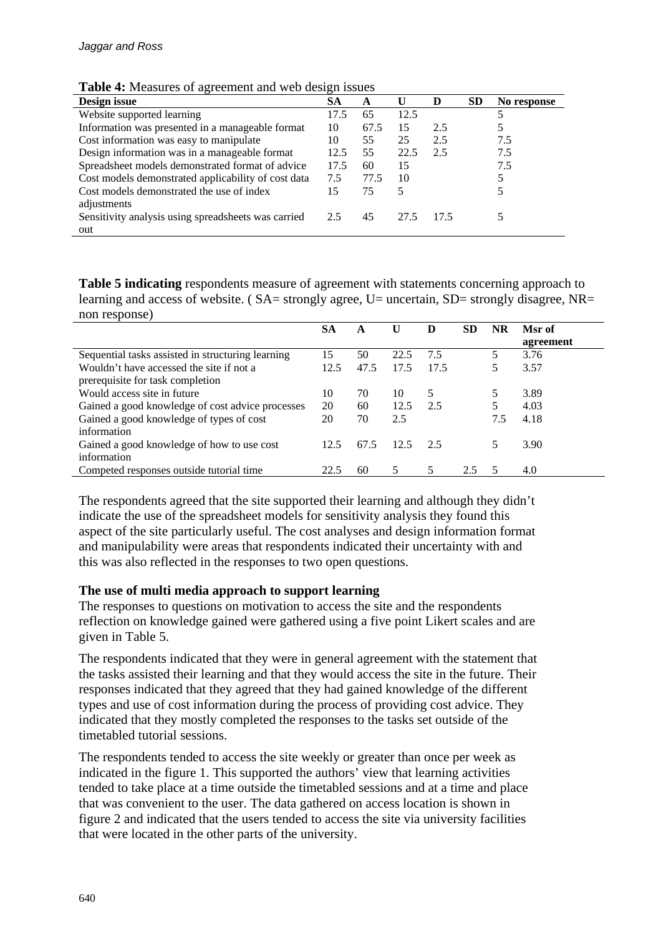| <b>Table 4:</b> Measures of agreement and web design issues |
|-------------------------------------------------------------|
|-------------------------------------------------------------|

| Design issue                                        | SА   | A    | U    | D    | <b>SD</b> | No response |
|-----------------------------------------------------|------|------|------|------|-----------|-------------|
| Website supported learning                          | 17.5 | 65   | 12.5 |      |           |             |
| Information was presented in a manageable format    | 10   | 67.5 | 15   | 2.5  |           |             |
| Cost information was easy to manipulate             | 10   | 55   | 25   | 2.5  |           | 7.5         |
| Design information was in a manageable format       | 12.5 | 55   | 22.5 | 2.5  |           | 7.5         |
| Spreadsheet models demonstrated format of advice    | 17.5 | 60   | 15   |      |           | 7.5         |
| Cost models demonstrated applicability of cost data | 7.5  | 77.5 | 10   |      |           |             |
| Cost models demonstrated the use of index           | 15   | 75   | 5    |      |           |             |
| adjustments                                         |      |      |      |      |           |             |
| Sensitivity analysis using spreadsheets was carried | 2.5  | 45   | 27.5 | 17.5 |           |             |
| out                                                 |      |      |      |      |           |             |

**Table 5 indicating** respondents measure of agreement with statements concerning approach to learning and access of website. ( $SA$  = strongly agree, U = uncertain,  $SD$  = strongly disagree, NR = non response)

|                                                   | SА   | A    |      | D    | SD  | NR  | Msr of    |
|---------------------------------------------------|------|------|------|------|-----|-----|-----------|
|                                                   |      |      |      |      |     |     | agreement |
| Sequential tasks assisted in structuring learning | 15   | 50   | 22.5 | 7.5  |     | 5   | 3.76      |
| Wouldn't have accessed the site if not a          | 12.5 | 47.5 | 17.5 | 17.5 |     |     | 3.57      |
| prerequisite for task completion                  |      |      |      |      |     |     |           |
| Would access site in future                       | 10   | 70   | 10   | 5    |     |     | 3.89      |
| Gained a good knowledge of cost advice processes  | 20   | 60   | 12.5 | 2.5  |     |     | 4.03      |
| Gained a good knowledge of types of cost          | 20   | 70   | 2.5  |      |     | 7.5 | 4.18      |
| information                                       |      |      |      |      |     |     |           |
| Gained a good knowledge of how to use cost        | 12.5 | 67.5 | 12.5 | 2.5  |     |     | 3.90      |
| information                                       |      |      |      |      |     |     |           |
| Competed responses outside tutorial time          | 22.5 | 60   |      | 5    | 2.5 |     | 4.0       |

The respondents agreed that the site supported their learning and although they didn't indicate the use of the spreadsheet models for sensitivity analysis they found this aspect of the site particularly useful. The cost analyses and design information format and manipulability were areas that respondents indicated their uncertainty with and this was also reflected in the responses to two open questions.

#### **The use of multi media approach to support learning**

The responses to questions on motivation to access the site and the respondents reflection on knowledge gained were gathered using a five point Likert scales and are given in Table 5.

The respondents indicated that they were in general agreement with the statement that the tasks assisted their learning and that they would access the site in the future. Their responses indicated that they agreed that they had gained knowledge of the different types and use of cost information during the process of providing cost advice. They indicated that they mostly completed the responses to the tasks set outside of the timetabled tutorial sessions.

The respondents tended to access the site weekly or greater than once per week as indicated in the figure 1. This supported the authors' view that learning activities tended to take place at a time outside the timetabled sessions and at a time and place that was convenient to the user. The data gathered on access location is shown in figure 2 and indicated that the users tended to access the site via university facilities that were located in the other parts of the university.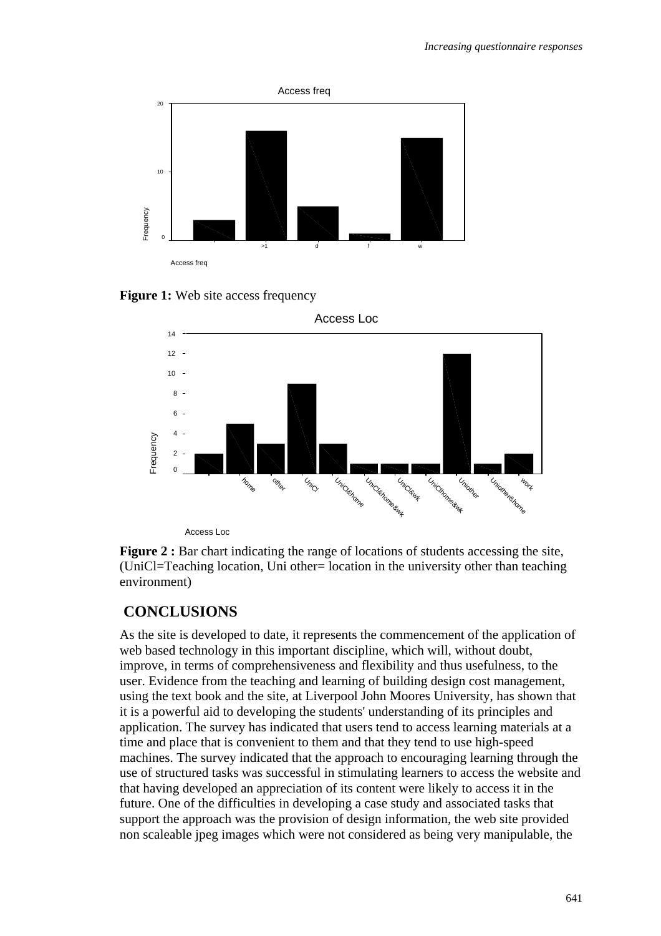

**Figure 1:** Web site access frequency



Access Loc

**Figure 2 :** Bar chart indicating the range of locations of students accessing the site, (UniCl=Teaching location, Uni other= location in the university other than teaching environment)

# **CONCLUSIONS**

As the site is developed to date, it represents the commencement of the application of web based technology in this important discipline, which will, without doubt, improve, in terms of comprehensiveness and flexibility and thus usefulness, to the user. Evidence from the teaching and learning of building design cost management, using the text book and the site, at Liverpool John Moores University, has shown that it is a powerful aid to developing the students' understanding of its principles and application. The survey has indicated that users tend to access learning materials at a time and place that is convenient to them and that they tend to use high-speed machines. The survey indicated that the approach to encouraging learning through the use of structured tasks was successful in stimulating learners to access the website and that having developed an appreciation of its content were likely to access it in the future. One of the difficulties in developing a case study and associated tasks that support the approach was the provision of design information, the web site provided non scaleable jpeg images which were not considered as being very manipulable, the